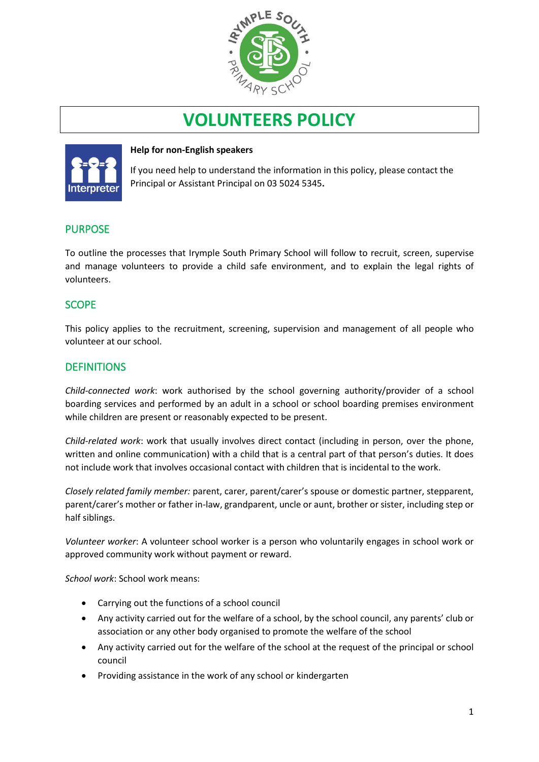

# **VOLUNTEERS POLICY**



#### **Help for non-English speakers**

If you need help to understand the information in this policy, please contact the Principal or Assistant Principal on 03 5024 5345.

# PURPOSE

To outline the processes that Irymple South Primary School will follow to recruit, screen, supervise and manage volunteers to provide a child safe environment, and to explain the legal rights of volunteers.

# **SCOPE**

This policy applies to the recruitment, screening, supervision and management of all people who volunteer at our school.

# **DEFINITIONS**

*Child-connected work*: work authorised by the school governing authority/provider of a school boarding services and performed by an adult in a school or school boarding premises environment while children are present or reasonably expected to be present.

*Child-related work*: work that usually involves direct contact (including in person, over the phone, written and online communication) with a child that is a central part of that person's duties. It does not include work that involves occasional contact with children that is incidental to the work.

*Closely related family member:* parent, carer, parent/carer's spouse or domestic partner, stepparent, parent/carer's mother or father in-law, grandparent, uncle or aunt, brother or sister, including step or half siblings.

*Volunteer worker*: A volunteer school worker is a person who voluntarily engages in school work or approved community work without payment or reward.

*School work*: School work means:

- Carrying out the functions of a school council
- Any activity carried out for the welfare of a school, by the school council, any parents' club or association or any other body organised to promote the welfare of the school
- Any activity carried out for the welfare of the school at the request of the principal or school council
- Providing assistance in the work of any school or kindergarten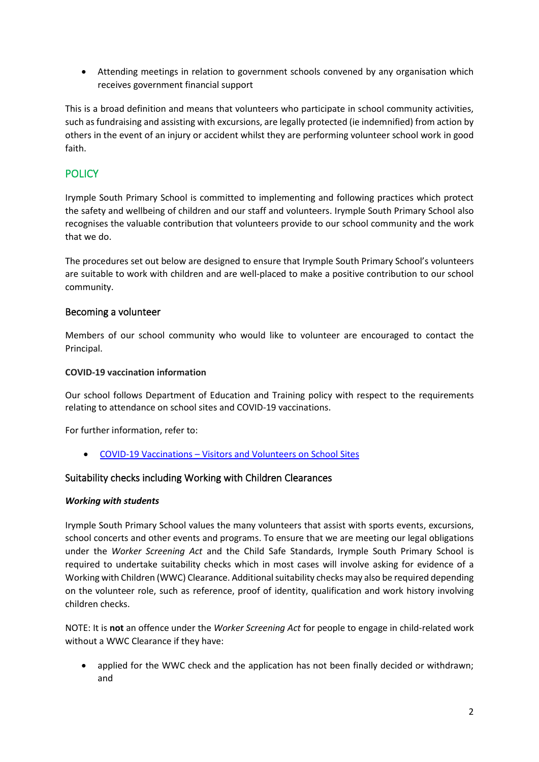• Attending meetings in relation to government schools convened by any organisation which receives government financial support

This is a broad definition and means that volunteers who participate in school community activities, such as fundraising and assisting with excursions, are legally protected (ie indemnified) from action by others in the event of an injury or accident whilst they are performing volunteer school work in good faith.

# **POLICY**

Irymple South Primary School is committed to implementing and following practices which protect the safety and wellbeing of children and our staff and volunteers. Irymple South Primary School also recognises the valuable contribution that volunteers provide to our school community and the work that we do.

The procedures set out below are designed to ensure that Irymple South Primary School's volunteers are suitable to work with children and are well-placed to make a positive contribution to our school community.

# Becoming a volunteer

Members of our school community who would like to volunteer are encouraged to contact the Principal.

#### **COVID-19 vaccination information**

Our school follows Department of Education and Training policy with respect to the requirements relating to attendance on school sites and COVID-19 vaccinations.

For further information, refer to:

• COVID-19 Vaccinations – [Visitors and Volunteers on School Sites](https://www2.education.vic.gov.au/pal/covid-19-vaccinations-visitors-volunteers/policy)

# Suitability checks including Working with Children Clearances

#### *Working with students*

Irymple South Primary School values the many volunteers that assist with sports events, excursions, school concerts and other events and programs. To ensure that we are meeting our legal obligations under the *Worker Screening Act* and the Child Safe Standards, Irymple South Primary School is required to undertake suitability checks which in most cases will involve asking for evidence of a Working with Children (WWC) Clearance. Additional suitability checks may also be required depending on the volunteer role, such as reference, proof of identity, qualification and work history involving children checks.

NOTE: It is **not** an offence under the *Worker Screening Act* for people to engage in child-related work without a WWC Clearance if they have:

• applied for the WWC check and the application has not been finally decided or withdrawn; and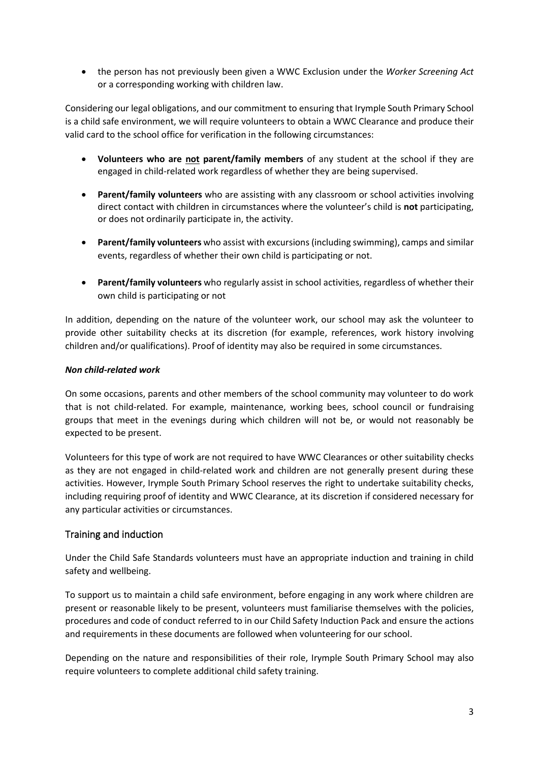• the person has not previously been given a WWC Exclusion under the *Worker Screening Act* or a corresponding working with children law.

Considering our legal obligations, and our commitment to ensuring that Irymple South Primary School is a child safe environment, we will require volunteers to obtain a WWC Clearance and produce their valid card to the school office for verification in the following circumstances:

- **Volunteers who are not parent/family members** of any student at the school if they are engaged in child-related work regardless of whether they are being supervised.
- **Parent/family volunteers** who are assisting with any classroom or school activities involving direct contact with children in circumstances where the volunteer's child is **not** participating, or does not ordinarily participate in, the activity.
- **Parent/family volunteers** who assist with excursions (including swimming), camps and similar events, regardless of whether their own child is participating or not.
- **Parent/family volunteers** who regularly assist in school activities, regardless of whether their own child is participating or not

In addition, depending on the nature of the volunteer work, our school may ask the volunteer to provide other suitability checks at its discretion (for example, references, work history involving children and/or qualifications). Proof of identity may also be required in some circumstances.

# *Non child-related work*

On some occasions, parents and other members of the school community may volunteer to do work that is not child-related. For example, maintenance, working bees, school council or fundraising groups that meet in the evenings during which children will not be, or would not reasonably be expected to be present.

Volunteers for this type of work are not required to have WWC Clearances or other suitability checks as they are not engaged in child-related work and children are not generally present during these activities. However, Irymple South Primary School reserves the right to undertake suitability checks, including requiring proof of identity and WWC Clearance, at its discretion if considered necessary for any particular activities or circumstances.

# Training and induction

Under the Child Safe Standards volunteers must have an appropriate induction and training in child safety and wellbeing.

To support us to maintain a child safe environment, before engaging in any work where children are present or reasonable likely to be present, volunteers must familiarise themselves with the policies, procedures and code of conduct referred to in our Child Safety Induction Pack and ensure the actions and requirements in these documents are followed when volunteering for our school.

Depending on the nature and responsibilities of their role, Irymple South Primary School may also require volunteers to complete additional child safety training.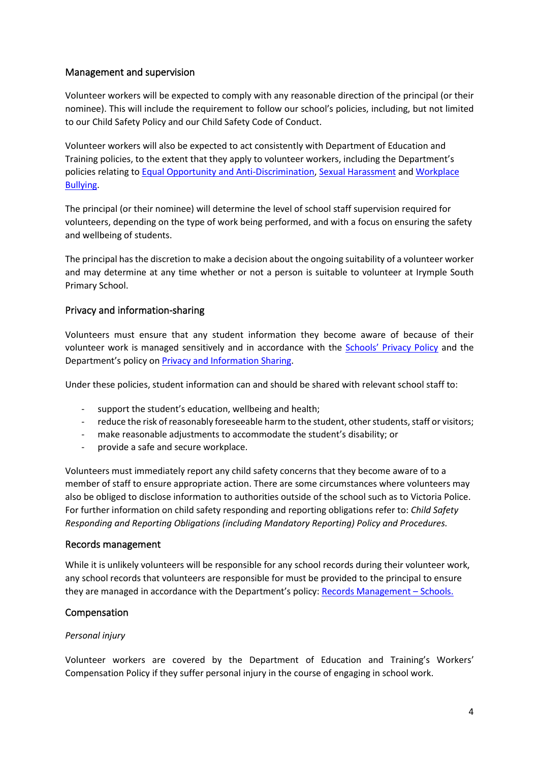# Management and supervision

Volunteer workers will be expected to comply with any reasonable direction of the principal (or their nominee). This will include the requirement to follow our school's policies, including, but not limited to our Child Safety Policy and our Child Safety Code of Conduct.

Volunteer workers will also be expected to act consistently with Department of Education and Training policies, to the extent that they apply to volunteer workers, including the Department's policies relating to [Equal Opportunity and Anti-Discrimination,](https://www2.education.vic.gov.au/pal/equal-opportunity/policy-and-guidelines) [Sexual Harassment](https://www2.education.vic.gov.au/pal/sexual-harassment/overview) and [Workplace](https://www2.education.vic.gov.au/pal/workplace-bullying/policy)  [Bullying.](https://www2.education.vic.gov.au/pal/workplace-bullying/policy)

The principal (or their nominee) will determine the level of school staff supervision required for volunteers, depending on the type of work being performed, and with a focus on ensuring the safety and wellbeing of students.

The principal has the discretion to make a decision about the ongoing suitability of a volunteer worker and may determine at any time whether or not a person is suitable to volunteer at Irymple South Primary School.

# Privacy and information-sharing

Volunteers must ensure that any student information they become aware of because of their volunteer work is managed sensitively and in accordance with the Schools' [Privacy Policy](https://www.education.vic.gov.au/Pages/schoolsprivacypolicy.aspx) and the Department's policy on [Privacy and Information Sharing.](https://www2.education.vic.gov.au/pal/privacy-information-sharing/policy)

Under these policies, student information can and should be shared with relevant school staff to:

- support the student's education, wellbeing and health;
- reduce the risk of reasonably foreseeable harm to the student, other students, staff or visitors;
- make reasonable adjustments to accommodate the student's disability; or
- provide a safe and secure workplace.

Volunteers must immediately report any child safety concerns that they become aware of to a member of staff to ensure appropriate action. There are some circumstances where volunteers may also be obliged to disclose information to authorities outside of the school such as to Victoria Police. For further information on child safety responding and reporting obligations refer to: *Child Safety Responding and Reporting Obligations (including Mandatory Reporting) Policy and Procedures.* 

#### Records management

While it is unlikely volunteers will be responsible for any school records during their volunteer work, any school records that volunteers are responsible for must be provided to the principal to ensure they are managed in accordance with the Department's policy[: Records Management](https://www2.education.vic.gov.au/pal/records-management/policy) – Schools.

# Compensation

#### *Personal injury*

Volunteer workers are covered by the Department of Education and Training's Workers' Compensation Policy if they suffer personal injury in the course of engaging in school work.